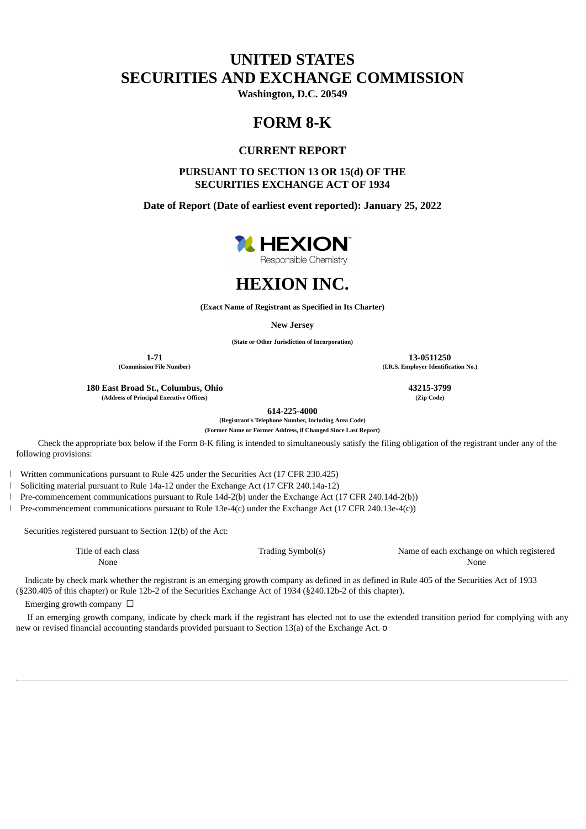# **UNITED STATES SECURITIES AND EXCHANGE COMMISSION**

**Washington, D.C. 20549**

## **FORM 8-K**

## **CURRENT REPORT**

### **PURSUANT TO SECTION 13 OR 15(d) OF THE SECURITIES EXCHANGE ACT OF 1934**

**Date of Report (Date of earliest event reported): January 25, 2022**



Responsible Chemistry



**(Exact Name of Registrant as Specified in Its Charter)**

**New Jersey**

**(State or Other Jurisdiction of Incorporation)**

**180 East Broad St., Columbus, Ohio 43215-3799 (Address of Principal Executive Offices) (Zip Code)**

**614-225-4000**

**(Registrant's Telephone Number, Including Area Code)**

**(Former Name or Former Address, if Changed Since Last Report)**

Check the appropriate box below if the Form 8-K filing is intended to simultaneously satisfy the filing obligation of the registrant under any of the following provisions:

Written communications pursuant to Rule 425 under the Securities Act (17 CFR 230.425)

Soliciting material pursuant to Rule 14a-12 under the Exchange Act (17 CFR 240.14a-12)

Pre-commencement communications pursuant to Rule 14d-2(b) under the Exchange Act (17 CFR 240.14d-2(b))

Pre-commencement communications pursuant to Rule 13e-4(c) under the Exchange Act (17 CFR 240.13e-4(c))

Securities registered pursuant to Section 12(b) of the Act:

Title of each class Trading Symbol(s) Name of each exchange on which registered None None

Indicate by check mark whether the registrant is an emerging growth company as defined in as defined in Rule 405 of the Securities Act of 1933 (§230.405 of this chapter) or Rule 12b-2 of the Securities Exchange Act of 1934 (§240.12b-2 of this chapter).

Emerging growth company  $\Box$ 

If an emerging growth company, indicate by check mark if the registrant has elected not to use the extended transition period for complying with any new or revised financial accounting standards provided pursuant to Section 13(a) of the Exchange Act. o

**1-71 13-0511250 (Commission File Number) (I.R.S. Employer Identification No.)**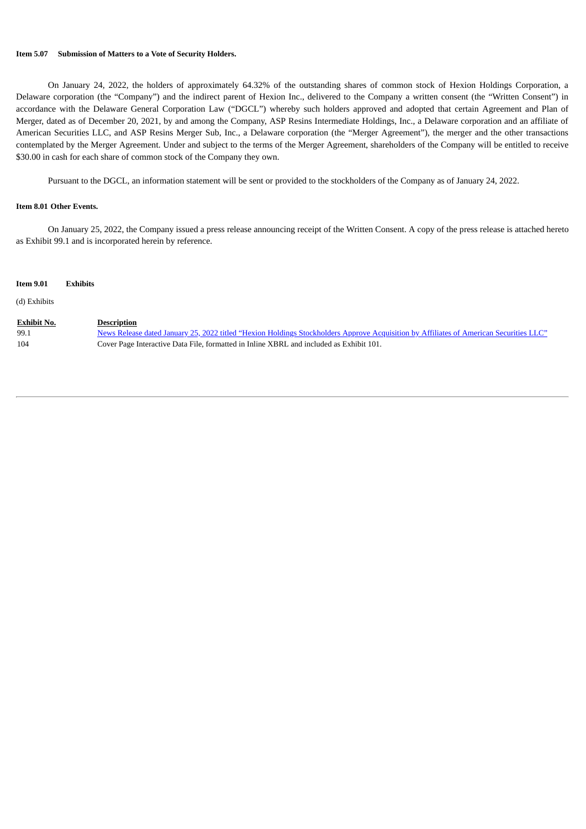#### **Item 5.07 Submission of Matters to a Vote of Security Holders.**

On January 24, 2022, the holders of approximately 64.32% of the outstanding shares of common stock of Hexion Holdings Corporation, a Delaware corporation (the "Company") and the indirect parent of Hexion Inc., delivered to the Company a written consent (the "Written Consent") in accordance with the Delaware General Corporation Law ("DGCL") whereby such holders approved and adopted that certain Agreement and Plan of Merger, dated as of December 20, 2021, by and among the Company, ASP Resins Intermediate Holdings, Inc., a Delaware corporation and an affiliate of American Securities LLC, and ASP Resins Merger Sub, Inc., a Delaware corporation (the "Merger Agreement"), the merger and the other transactions contemplated by the Merger Agreement. Under and subject to the terms of the Merger Agreement, shareholders of the Company will be entitled to receive \$30.00 in cash for each share of common stock of the Company they own.

Pursuant to the DGCL, an information statement will be sent or provided to the stockholders of the Company as of January 24, 2022.

### **Item 8.01 Other Events.**

On January 25, 2022, the Company issued a press release announcing receipt of the Written Consent. A copy of the press release is attached hereto as Exhibit 99.1 and is incorporated herein by reference.

| <b>Item 9.01</b>                  | <b>Exhibits</b> |                                                                                                                                                                                                                                                         |
|-----------------------------------|-----------------|---------------------------------------------------------------------------------------------------------------------------------------------------------------------------------------------------------------------------------------------------------|
| (d) Exhibits                      |                 |                                                                                                                                                                                                                                                         |
| <b>Exhibit No.</b><br>99.1<br>104 |                 | <b>Description</b><br>News Release dated January 25, 2022 titled "Hexion Holdings Stockholders Approve Acquisition by Affiliates of American Securities LLC"<br>Cover Page Interactive Data File, formatted in Inline XBRL and included as Exhibit 101. |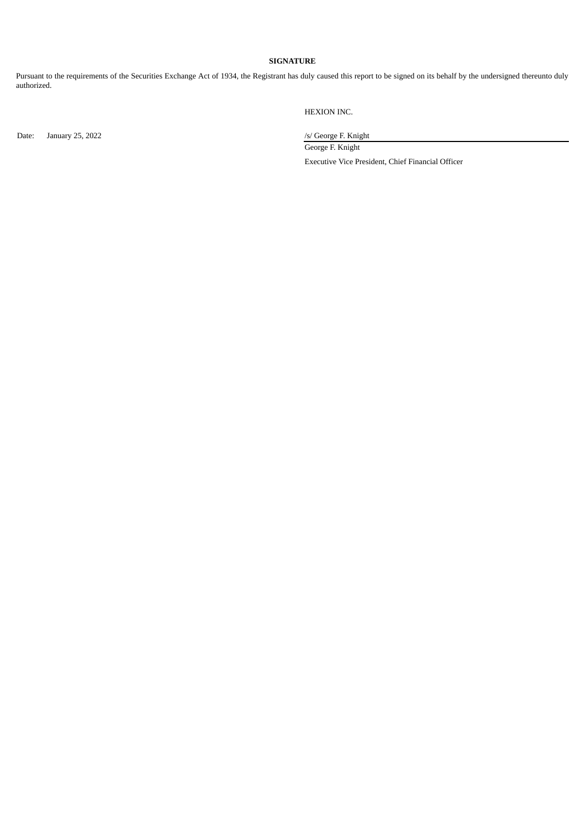### **SIGNATURE**

Pursuant to the requirements of the Securities Exchange Act of 1934, the Registrant has duly caused this report to be signed on its behalf by the undersigned thereunto duly authorized.

Date: January 25, 2022 <br>
January 25, 2022 <br>
January 25, 2022 <br>
January 25, 2022 <br>
January 25, 2022 <br>
January 25, 2022 <br>
January 25, 2022 <br>
January 25, 2022 <br>
January 25, 2022 <br>
January 26, 2023 <br>
January 26, 2023 <br>
January

HEXION INC.

George F. Knight

Executive Vice President, Chief Financial Officer